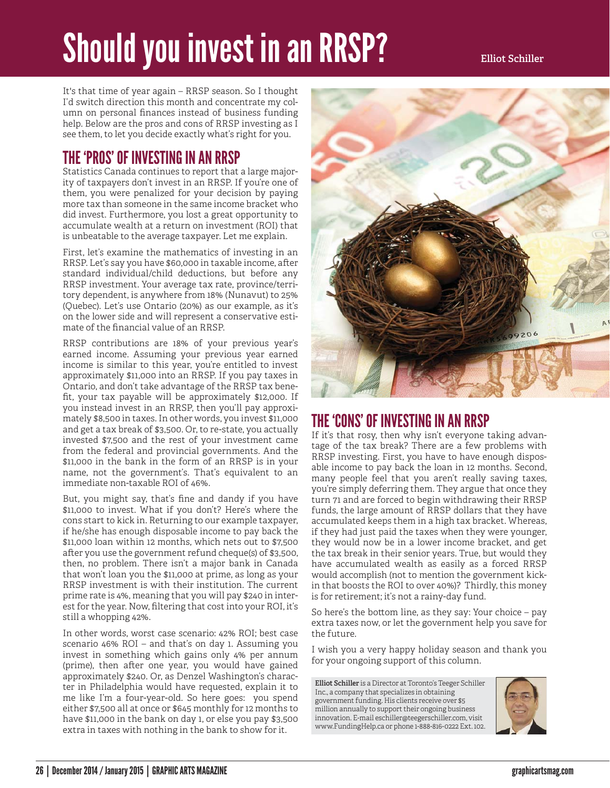# Should you invest in an RRSP?

It's that time of year again – RRSP season. So I thought I'd switch direction this month and concentrate my column on personal finances instead of business funding help. Below are the pros and cons of RRSP investing as I see them, to let you decide exactly what's right for you.

## THE 'PROS' OF INVESTING IN AN RRSP

Statistics Canada continues to report that a large majority of taxpayers don't invest in an RRSP. If you're one of them, you were penalized for your decision by paying more tax than someone in the same income bracket who did invest. Furthermore, you lost a great opportunity to accumulate wealth at a return on investment (ROI) that is unbeatable to the average taxpayer. Let me explain.

First, let's examine the mathematics of investing in an RRSP. Let's say you have \$60,000 in taxable income, after standard individual/child deductions, but before any RRSP investment. Your average tax rate, province/territory dependent, is anywhere from 18% (Nunavut) to 25% (Quebec). Let's use Ontario (20%) as our example, as it's on the lower side and will represent a conservative estimate of the financial value of an RRSP.

RRSP contributions are 18% of your previous year's earned income. Assuming your previous year earned income is similar to this year, you're entitled to invest approximately \$11,000 into an RRSP. If you pay taxes in Ontario, and don't take advantage of the RRSP tax benefit, your tax payable will be approximately \$12,000. If you instead invest in an RRSP, then you'll pay approximately \$8,500 in taxes. In other words, you invest \$11,000 and get a tax break of \$3,500. Or, to re-state, you actually invested \$7,500 and the rest of your investment came from the federal and provincial governments. And the \$11,000 in the bank in the form of an RRSP is in your name, not the government's. That's equivalent to an immediate non-taxable ROI of 46%.

But, you might say, that's fine and dandy if you have \$11,000 to invest. What if you don't? Here's where the cons start to kick in. Returning to our example taxpayer, if he/she has enough disposable income to pay back the \$11,000 loan within 12 months, which nets out to \$7,500 after you use the government refund cheque(s) of \$3,500, then, no problem. There isn't a major bank in Canada that won't loan you the \$11,000 at prime, as long as your RRSP investment is with their institution. The current prime rate is 4%, meaning that you will pay \$240 in interest for the year. Now, filtering that cost into your ROI, it's still a whopping 42%.

In other words, worst case scenario: 42% ROI; best case scenario 46% ROI – and that's on day 1. Assuming you invest in something which gains only 4% per annum (prime), then after one year, you would have gained approximately \$240. Or, as Denzel Washington's character in Philadelphia would have requested, explain it to me like I'm a four-year-old. So here goes: you spend either \$7,500 all at once or \$645 monthly for 12 months to have \$11,000 in the bank on day 1, or else you pay \$3,500 extra in taxes with nothing in the bank to show for it.



## THE 'CONS' OF INVESTING IN AN RRSP

If it's that rosy, then why isn't everyone taking advantage of the tax break? There are a few problems with RRSP investing. First, you have to have enough disposable income to pay back the loan in 12 months. Second, many people feel that you aren't really saving taxes, you're simply deferring them. They argue that once they turn 71 and are forced to begin withdrawing their RRSP funds, the large amount of RRSP dollars that they have accumulated keeps them in a high tax bracket. Whereas, if they had just paid the taxes when they were younger, they would now be in a lower income bracket, and get the tax break in their senior years. True, but would they have accumulated wealth as easily as a forced RRSP would accomplish (not to mention the government kickin that boosts the ROI to over 40%)? Thirdly, this money is for retirement; it's not a rainy-day fund.

So here's the bottom line, as they say: Your choice  $-$  pay extra taxes now, or let the government help you save for the future.

I wish you a very happy holiday season and thank you for your ongoing support of this column.

**Elliot Schiller** is a Director at Toronto's Teeger Schiller Inc., a company that specializes in obtaining government funding. His clients receive over \$5 million annually to support their ongoing business innovation. E-mail eschiller@teegerschiller.com, visit www.FundingHelp.ca or phone 1-888-816-0222 Ext. 102.